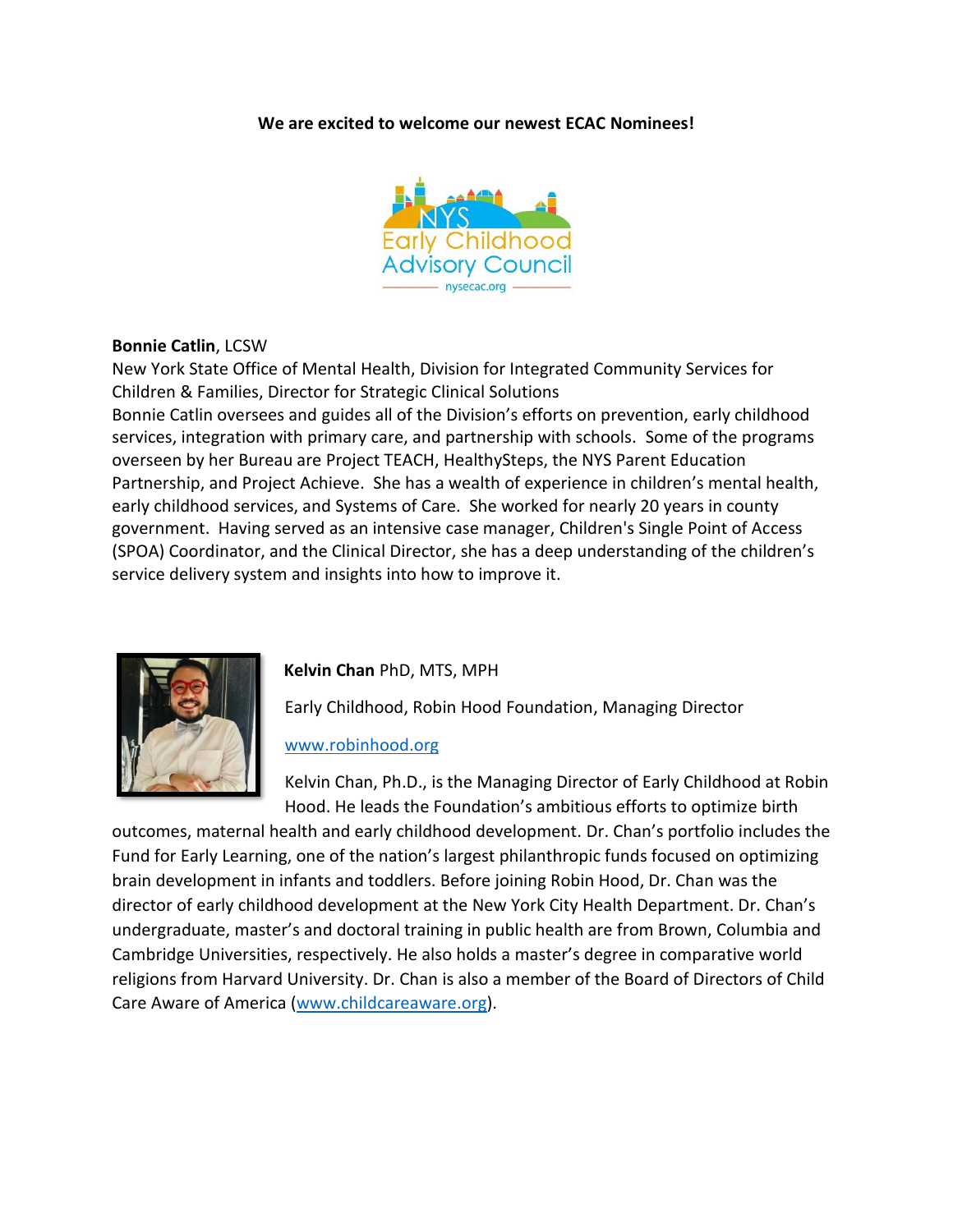**We are excited to welcome our newest ECAC Nominees!**



### **Bonnie Catlin**, LCSW

New York State Office of Mental Health, Division for Integrated Community Services for Children & Families, Director for Strategic Clinical Solutions

Bonnie Catlin oversees and guides all of the Division's efforts on prevention, early childhood services, integration with primary care, and partnership with schools. Some of the programs overseen by her Bureau are Project TEACH, HealthySteps, the NYS Parent Education Partnership, and Project Achieve. She has a wealth of experience in children's mental health, early childhood services, and Systems of Care. She worked for nearly 20 years in county government. Having served as an intensive case manager, Children's Single Point of Access (SPOA) Coordinator, and the Clinical Director, she has a deep understanding of the children's service delivery system and insights into how to improve it.



# **Kelvin Chan** PhD, MTS, MPH

Early Childhood, Robin Hood Foundation, Managing Director

#### [www.robinhood.org](http://www.robinhood.org/)

Kelvin Chan, Ph.D., is the Managing Director of Early Childhood at Robin Hood. He leads the Foundation's ambitious efforts to optimize birth

outcomes, maternal health and early childhood development. Dr. Chan's portfolio includes the Fund for Early Learning, one of the nation's largest philanthropic funds focused on optimizing brain development in infants and toddlers. Before joining Robin Hood, Dr. Chan was the director of early childhood development at the New York City Health Department. Dr. Chan's undergraduate, master's and doctoral training in public health are from Brown, Columbia and Cambridge Universities, respectively. He also holds a master's degree in comparative world religions from Harvard University. Dr. Chan is also a member of the Board of Directors of Child Care Aware of America [\(www.childcareaware.org\)](http://www.childcareaware.org/).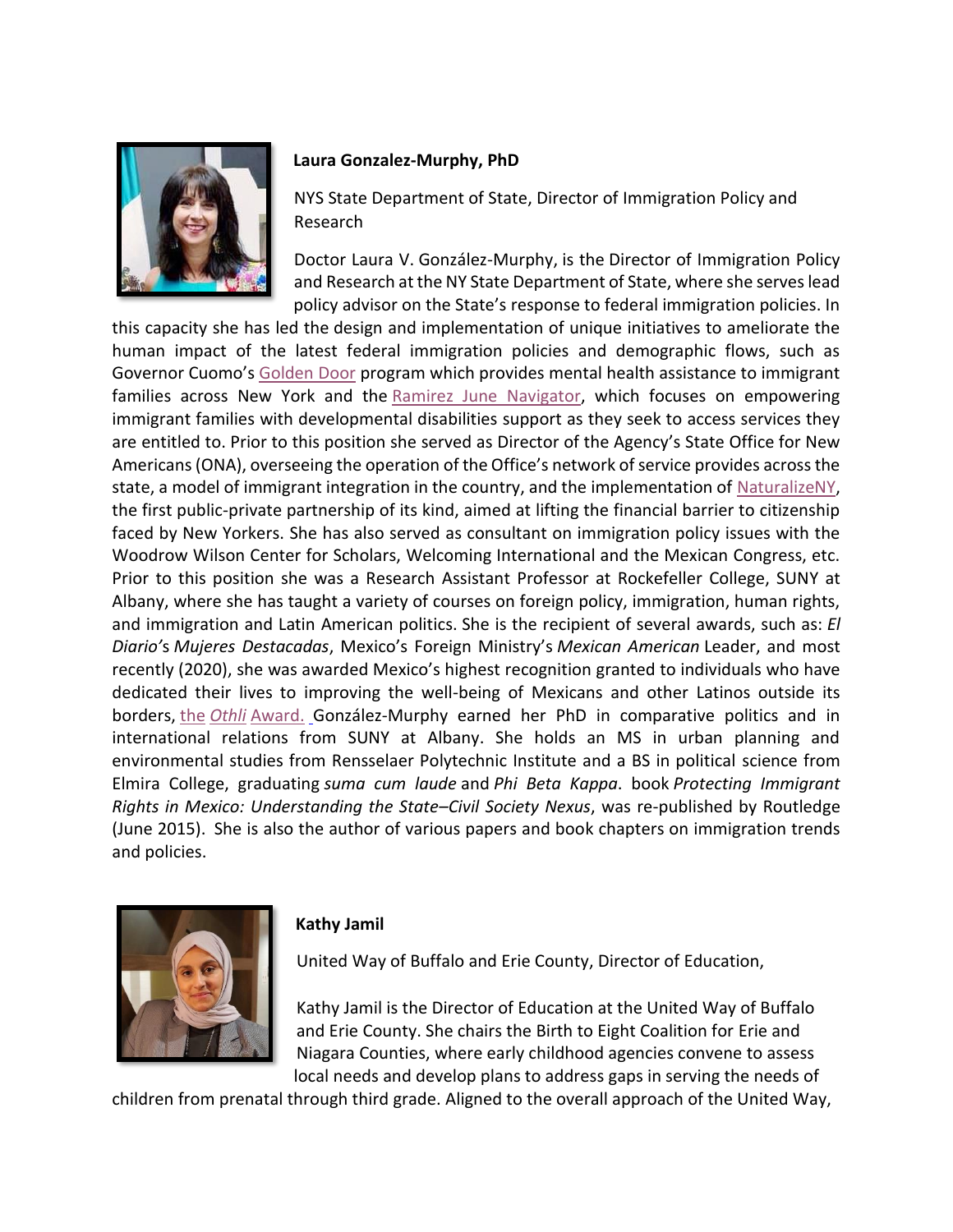

#### **Laura Gonzalez-Murphy, PhD**

NYS State Department of State, Director of Immigration Policy and Research

Doctor Laura V. González-Murphy, is the Director of Immigration Policy and Research at the NY State Department of State, where she serves lead policy advisor on the State's response to federal immigration policies. In

this capacity she has led the design and implementation of unique initiatives to ameliorate the human impact of the latest federal immigration policies and demographic flows, such as Governor Cuomo's [Golden Door](https://urldefense.proofpoint.com/v2/url?u=https-3A__www.governor.ny.gov_news_governor-2Dcuomo-2Dannounces-2Dexpansion-2Dliberty-2Ddefense-2Dproject-2Dprovide-2Denhanced-2Dimmigration-2Dlegal&d=DwMF-g&c=mRWFL96tuqj9V0Jjj4h40ddo0XsmttALwKjAEOCyUjY&r=003hGEA_NWvK6fGKtgc66vlArdI7Bmdl9Oi9bSP2t7A&m=3VYSIUMCqmI3fY_dP0eenEu0zY6kisXRksmPF0mPgBU&s=Ynv9In-j9ExR1BekTXbg_yEhUtcmLXYmxdW1SxYjnOQ&e=) program which provides mental health assistance to immigrant families across New York and the [Ramirez June Navigator,](https://urldefense.proofpoint.com/v2/url?u=https-3A__www.dos.ny.gov_press_2020_ona-2Dpr-2D081220.html&d=DwMF-g&c=mRWFL96tuqj9V0Jjj4h40ddo0XsmttALwKjAEOCyUjY&r=003hGEA_NWvK6fGKtgc66vlArdI7Bmdl9Oi9bSP2t7A&m=3VYSIUMCqmI3fY_dP0eenEu0zY6kisXRksmPF0mPgBU&s=VNOOb8EuLmzhkiW3JdNn8lpyzXGCanFabIRwgwQuzbQ&e=) which focuses on empowering immigrant families with developmental disabilities support as they seek to access services they are entitled to. Prior to this position she served as Director of the Agency's State Office for New Americans (ONA), overseeing the operation of the Office's network of service provides across the state, a model of immigrant integration in the country, and the implementation of [NaturalizeNY,](https://urldefense.proofpoint.com/v2/url?u=https-3A__www.governor.ny.gov_news_governor-2Dcuomo-2Dlaunches-2Dnaturalize-2Dny-2Dfirst-2Dpublic-2Dprivate-2Dpartnership-2Dits-2Dkind-2Dpromote-2Dus&d=DwMF-g&c=mRWFL96tuqj9V0Jjj4h40ddo0XsmttALwKjAEOCyUjY&r=003hGEA_NWvK6fGKtgc66vlArdI7Bmdl9Oi9bSP2t7A&m=3VYSIUMCqmI3fY_dP0eenEu0zY6kisXRksmPF0mPgBU&s=KWWRFWfI48IGdY57SvT2gMi2uLqqqZCfUwz2IhrV7ZU&e=) the first public-private partnership of its kind, aimed at lifting the financial barrier to citizenship faced by New Yorkers. She has also served as consultant on immigration policy issues with the Woodrow Wilson Center for Scholars, Welcoming International and the Mexican Congress, etc. Prior to this position she was a Research Assistant Professor at Rockefeller College, SUNY at Albany, where she has taught a variety of courses on foreign policy, immigration, human rights, and immigration and Latin American politics. She is the recipient of several awards, such as: *El Diario'*s *Mujeres Destacadas*, Mexico's Foreign Ministry's *Mexican American* Leader, and most recently (2020), she was awarded Mexico's highest recognition granted to individuals who have dedicated their lives to improving the well-being of Mexicans and other Latinos outside its borders, the *Othli* [Award.](https://urldefense.proofpoint.com/v2/url?u=https-3A__www.albany.edu_news_97310.php&d=DwMF-g&c=mRWFL96tuqj9V0Jjj4h40ddo0XsmttALwKjAEOCyUjY&r=003hGEA_NWvK6fGKtgc66vlArdI7Bmdl9Oi9bSP2t7A&m=3VYSIUMCqmI3fY_dP0eenEu0zY6kisXRksmPF0mPgBU&s=voAYeOJLqJAmZpZgYbCFEqfC6ElDoJIgdlT9snE-Mbc&e=) González-Murphy earned her PhD in comparative politics and in international relations from SUNY at Albany. She holds an MS in urban planning and environmental studies from Rensselaer Polytechnic Institute and a BS in political science from Elmira College, graduating *suma cum laude* and *Phi Beta Kappa*. book *Protecting Immigrant Rights in Mexico: Understanding the State–Civil Society Nexus*, was re-published by Routledge (June 2015). She is also the author of various papers and book chapters on immigration trends and policies.



### **Kathy Jamil**

United Way of Buffalo and Erie County, Director of Education,

Kathy Jamil is the Director of Education at the United Way of Buffalo and Erie County. She chairs the Birth to Eight Coalition for Erie and Niagara Counties, where early childhood agencies convene to assess local needs and develop plans to address gaps in serving the needs of

children from prenatal through third grade. Aligned to the overall approach of the United Way,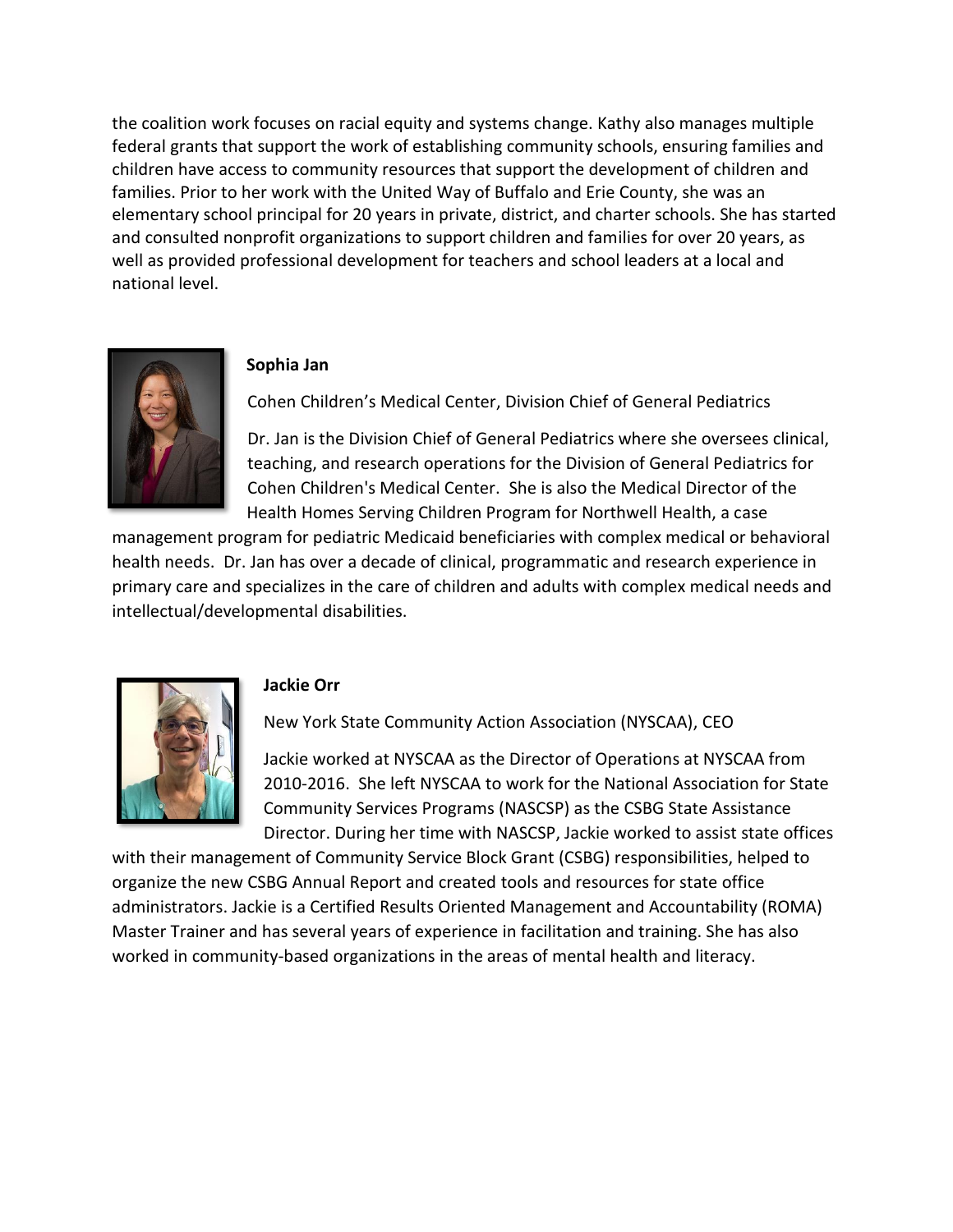the coalition work focuses on racial equity and systems change. Kathy also manages multiple federal grants that support the work of establishing community schools, ensuring families and children have access to community resources that support the development of children and families. Prior to her work with the United Way of Buffalo and Erie County, she was an elementary school principal for 20 years in private, district, and charter schools. She has started and consulted nonprofit organizations to support children and families for over 20 years, as well as provided professional development for teachers and school leaders at a local and national level.



### **Sophia Jan**

Cohen Children's Medical Center, Division Chief of General Pediatrics

Dr. Jan is the Division Chief of General Pediatrics where she oversees clinical, teaching, and research operations for the Division of General Pediatrics for Cohen Children's Medical Center. She is also the Medical Director of the Health Homes Serving Children Program for Northwell Health, a case

management program for pediatric Medicaid beneficiaries with complex medical or behavioral health needs. Dr. Jan has over a decade of clinical, programmatic and research experience in primary care and specializes in the care of children and adults with complex medical needs and intellectual/developmental disabilities.



# **Jackie Orr**

New York State Community Action Association (NYSCAA), CEO

Jackie worked at NYSCAA as the Director of Operations at NYSCAA from 2010-2016. She left NYSCAA to work for the National Association for State Community Services Programs (NASCSP) as the CSBG State Assistance Director. During her time with NASCSP, Jackie worked to assist state offices

with their management of Community Service Block Grant (CSBG) responsibilities, helped to organize the new CSBG Annual Report and created tools and resources for state office administrators. Jackie is a Certified Results Oriented Management and Accountability (ROMA) Master Trainer and has several years of experience in facilitation and training. She has also worked in community-based organizations in the areas of mental health and literacy.